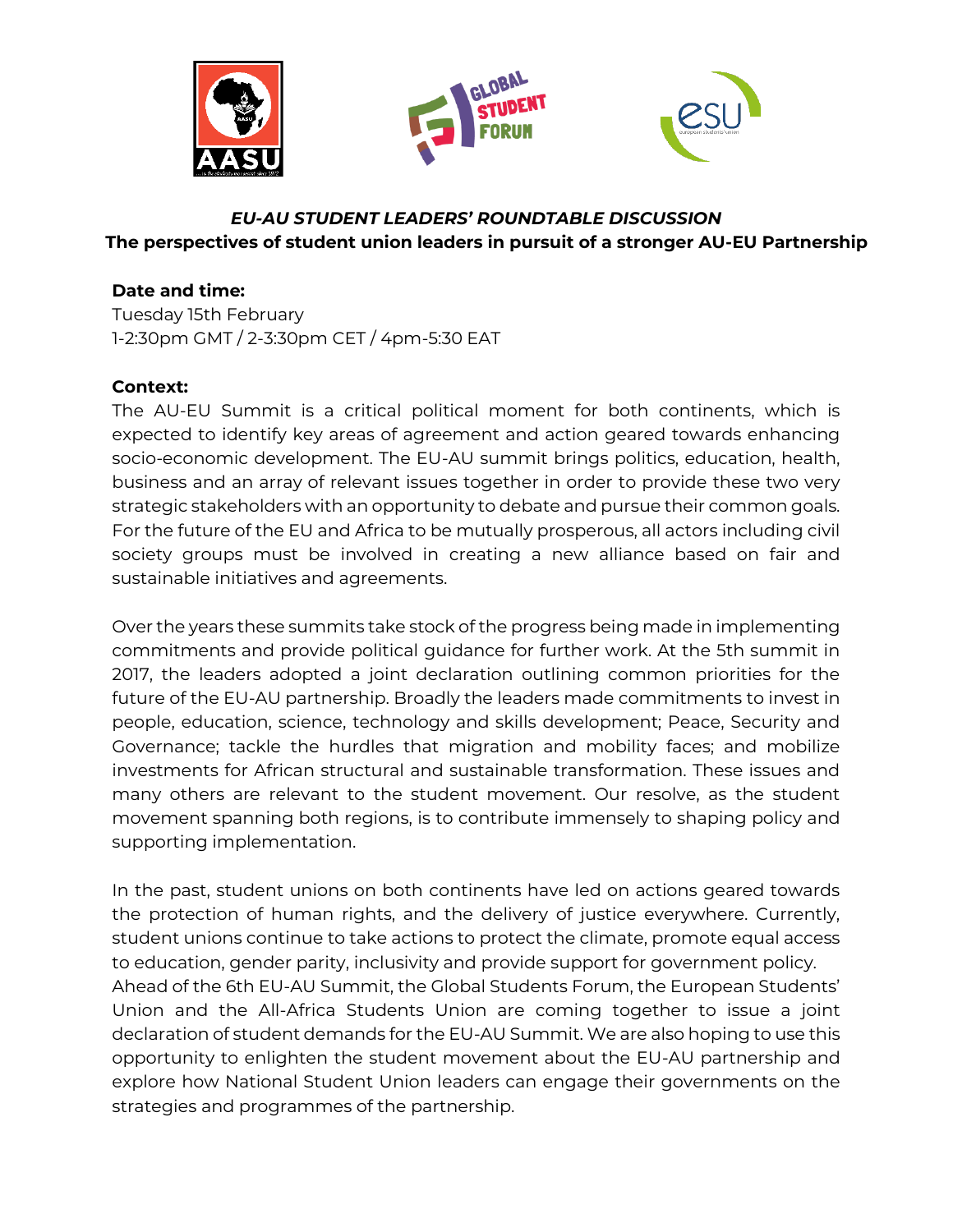

# *EU-AU STUDENT LEADERS' ROUNDTABLE DISCUSSION* **The perspectives of student union leaders in pursuit of a stronger AU-EU Partnership**

# **Date and time:**

Tuesday 15th February 1-2:30pm GMT / 2-3:30pm CET / 4pm-5:30 EAT

## **Context:**

The AU-EU Summit is a critical political moment for both continents, which is expected to identify key areas of agreement and action geared towards enhancing socio-economic development. The EU-AU summit brings politics, education, health, business and an array of relevant issues together in order to provide these two very strategic stakeholders with an opportunity to debate and pursue their common goals. For the future of the EU and Africa to be mutually prosperous, all actors including civil society groups must be involved in creating a new alliance based on fair and sustainable initiatives and agreements.

Over the years these summits take stock of the progress being made in implementing commitments and provide political guidance for further work. At the 5th summit in 2017, the leaders adopted a joint declaration outlining common priorities for the future of the EU-AU partnership. Broadly the leaders made commitments to invest in people, education, science, technology and skills development; Peace, Security and Governance; tackle the hurdles that migration and mobility faces; and mobilize investments for African structural and sustainable transformation. These issues and many others are relevant to the student movement. Our resolve, as the student movement spanning both regions, is to contribute immensely to shaping policy and supporting implementation.

In the past, student unions on both continents have led on actions geared towards the protection of human rights, and the delivery of justice everywhere. Currently, student unions continue to take actions to protect the climate, promote equal access to education, gender parity, inclusivity and provide support for government policy. Ahead of the 6th EU-AU Summit, the Global Students Forum, the European Students' Union and the All-Africa Students Union are coming together to issue a joint declaration of student demands for the EU-AU Summit. We are also hoping to use this opportunity to enlighten the student movement about the EU-AU partnership and explore how National Student Union leaders can engage their governments on the strategies and programmes of the partnership.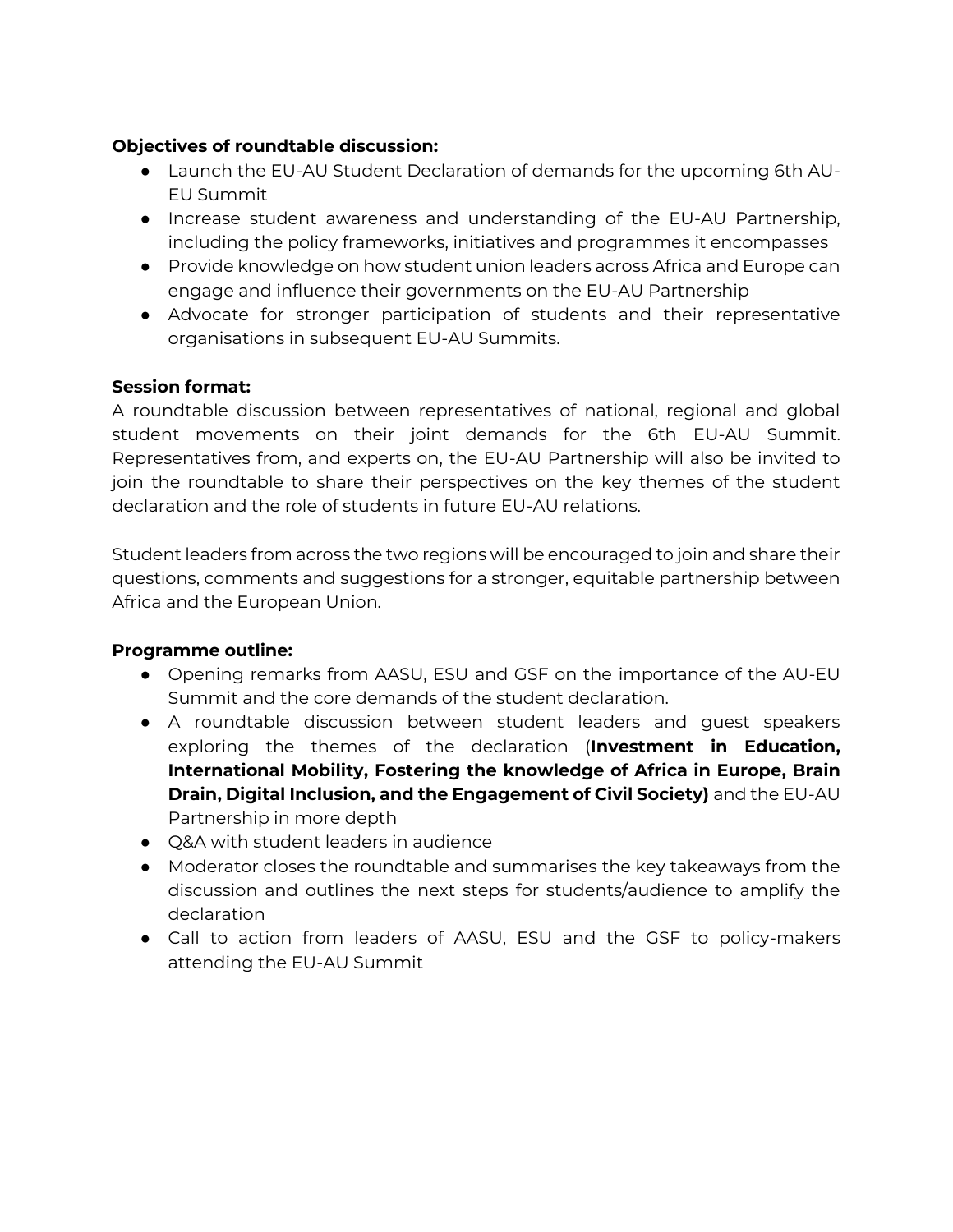# **Objectives of roundtable discussion:**

- Launch the EU-AU Student Declaration of demands for the upcoming 6th AU-EU Summit
- Increase student awareness and understanding of the EU-AU Partnership, including the policy frameworks, initiatives and programmes it encompasses
- Provide knowledge on how student union leaders across Africa and Europe can engage and influence their governments on the EU-AU Partnership
- Advocate for stronger participation of students and their representative organisations in subsequent EU-AU Summits.

## **Session format:**

A roundtable discussion between representatives of national, regional and global student movements on their joint demands for the 6th EU-AU Summit. Representatives from, and experts on, the EU-AU Partnership will also be invited to join the roundtable to share their perspectives on the key themes of the student declaration and the role of students in future EU-AU relations.

Student leaders from across the two regions will be encouraged to join and share their questions, comments and suggestions for a stronger, equitable partnership between Africa and the European Union.

## **Programme outline:**

- Opening remarks from AASU, ESU and GSF on the importance of the AU-EU Summit and the core demands of the student declaration.
- A roundtable discussion between student leaders and guest speakers exploring the themes of the declaration (**Investment in Education, International Mobility, Fostering the knowledge of Africa in Europe, Brain Drain, Digital Inclusion, and the Engagement of Civil Society)** and the EU-AU Partnership in more depth
- O&A with student leaders in audience
- Moderator closes the roundtable and summarises the key takeaways from the discussion and outlines the next steps for students/audience to amplify the declaration
- Call to action from leaders of AASU, ESU and the GSF to policy-makers attending the EU-AU Summit